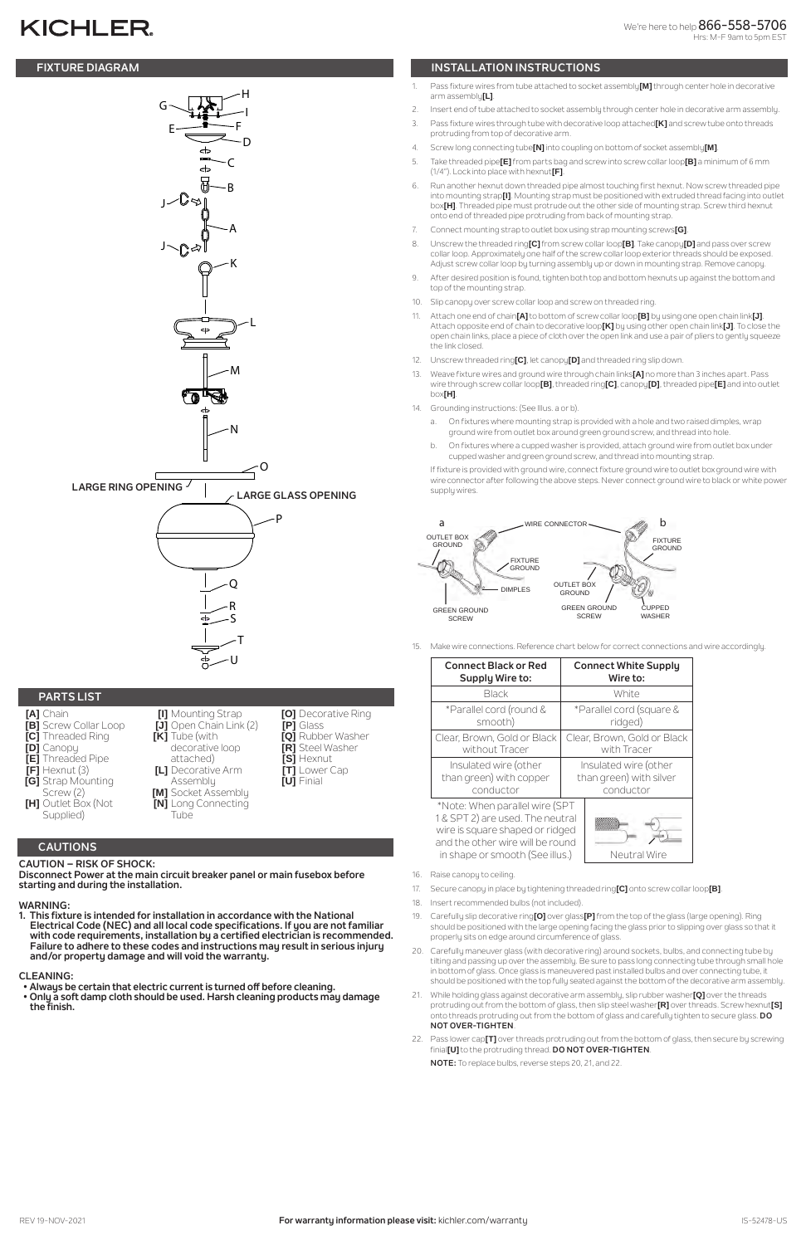# **KICHLER**

**Disconnect Power at the main circuit breaker panel or main fusebox before starting and during the installation.** 

#### **WARNING:**

- **[A]** Chain **[B]** Screw Collar Loop
- **[C]** Threaded Ring
- **[D]** Canopy
- **[E]** Threaded Pipe
- **[F]** Hexnut (3)
- **[G]** Strap Mounting
- Screw (2)
- **[H]** Outlet Box (Not Supplied)
	- **CAUTIONS**
- **CAUTION RISK OF SHOCK:**

#### **CLEANING:**

## **FIXTURE DIAGRAM INSTALLATION INSTRUCTIONS**

## **PARTS LIST**

**[I]** Mounting Strap **[J]** Open Chain Link (2)

**[K]** Tube (with

decorative loop attached) **[L]** Decorative Arm Assembly **[M]** Socket Assembly **[N]** Long Connecting

Tube

**[O]** Decorative Ring

**[P]** Glass

**[Q]** Rubber Washer **[R]** Steel Washer **[S]** Hexnut **[T]** Lower Cap **[U]** Finial

- 1. Pass fixture wires from tube attached to socket assembly**[M]** through center hole in decorative arm assembly**[L]**.
- 2. Insert end of tube attached to socket assembly through center hole in decorative arm assembly.
- 3. Pass fixture wires through tube with decorative loop attached**[K]** and screw tube onto threads protruding from top of decorative arm.
- 4. Screw long connecting tube**[N]** into coupling on bottom of socket assembly**[M]**.
- 5. Take threaded pipe**[E]** from parts bag and screw into screw collar loop**[B]** a minimum of 6 mm (1/4"). Lock into place with hexnut**[F]**.
- 6. Run another hexnut down threaded pipe almost touching first hexnut. Now screw threaded pipe into mounting strap**[I]**. Mounting strap must be positioned with extruded thread facing into outlet box**[H]**. Threaded pipe must protrude out the other side of mounting strap. Screw third hexnut onto end of threaded pipe protruding from back of mounting strap.
- 7. Connect mounting strap to outlet box using strap mounting screws**[G]**.
- 8. Unscrew the threaded ring**[C]** from screw collar loop**[B]**. Take canopy**[D]** and pass over screw collar loop. Approximately one half of the screw collar loop exterior threads should be exposed. Adjust screw collar loop by turning assembly up or down in mounting strap. Remove canopy.
- 9. After desired position is found, tighten both top and bottom hexnuts up against the bottom and top of the mounting strap.
- 10. Slip canopy over screw collar loop and screw on threaded ring.
- 11. Attach one end of chain**[A]** to bottom of screw collar loop**[B]** by using one open chain link**[J]**. Attach opposite end of chain to decorative loop**[K]** by using other open chain link**[J]**. To close the open chain links, place a piece of cloth over the open link and use a pair of pliers to gently squeeze the link closed.
- 12. Unscrew threaded ring**[C]**, let canopy**[D]** and threaded ring slip down.
- 13. Weave fixture wires and ground wire through chain links**[A]** no more than 3 inches apart. Pass wire through screw collar loop**[B]**, threaded ring**[C]**, canopy**[D]**, threaded pipe**[E]** and into outlet box**[H]**.
- 14. Grounding instructions: (See Illus. a or b).
	- a. On fixtures where mounting strap is provided with a hole and two raised dimples, wrap ground wire from outlet box around green ground screw, and thread into hole.
	- b. On fixtures where a cupped washer is provided, attach ground wire from outlet box under cupped washer and green ground screw, and thread into mounting strap.

- 16. Raise canopy to ceiling.
- 17. Secure canopy in place by tightening threaded ring**[C]** onto screw collar loop**[B]**.
- 18. Insert recommended bulbs (not included).
- 19. Carefully slip decorative ring**[O]** over glass**[P]** from the top of the glass (large opening). Ring should be positioned with the large opening facing the glass prior to slipping over glass so that it properly sits on edge around circumference of glass.
- **1. This fixture is intended for installation in accordance with the National Electrical Code (NEC) and all local code specifications. If you are not familiar with code requirements, installation by a certified electrician is recommended. Failure to adhere to these codes and instructions may result in serious injury and/or property damage and will void the warranty.**
- **Always be certain that electric current is turned off before cleaning.**
- **Only a soft damp cloth should be used. Harsh cleaning products may damage the finish.**
- 20. Carefully maneuver glass (with decorative ring) around sockets, bulbs, and connecting tube by tilting and passing up over the assembly. Be sure to pass long connecting tube through small hole in bottom of glass. Once glass is maneuvered past installed bulbs and over connecting tube, it should be positioned with the top fully seated against the bottom of the decorative arm assembly.
- 21. While holding glass against decorative arm assembly, slip rubber washer**[Q]** over the threads protruding out from the bottom of glass, then slip steel washer**[R]** over threads. Screw hexnut**[S]** onto threads protruding out from the bottom of glass and carefully tighten to secure glass. **DO NOT OVER-TIGHTEN**.
- 22. Pass lower cap**[T]** over threads protruding out from the bottom of glass, then secure by screwing finial**[U]** to the protruding thread. **DO NOT OVER-TIGHTEN**.

If fixture is provided with ground wire, connect fixture ground wire to outlet box ground wire with wire connector after following the above steps. Never connect ground wire to black or white power supply wires.

15. Make wire connections. Reference chart below for correct connections and wire accordingly.

| <b>Connect Black or Red</b>                                                                                                                                                  | <b>Connect White Supply</b> |
|------------------------------------------------------------------------------------------------------------------------------------------------------------------------------|-----------------------------|
| Supply Wire to:                                                                                                                                                              | Wire to:                    |
| <b>Black</b>                                                                                                                                                                 | White                       |
| *Parallel cord (round &                                                                                                                                                      | *Parallel cord (square &    |
| smooth)                                                                                                                                                                      | ridged)                     |
| Clear, Brown, Gold or Black                                                                                                                                                  | Clear, Brown, Gold or Black |
| without Tracer                                                                                                                                                               | with Tracer                 |
| Insulated wire (other                                                                                                                                                        | Insulated wire (other       |
| than green) with copper                                                                                                                                                      | than green) with silver     |
| conductor                                                                                                                                                                    | conductor                   |
| *Note: When parallel wire (SPT<br>1 & SPT 2) are used. The neutral<br>wire is square shaped or ridged<br>and the other wire will be round<br>in shape or smooth (See illus.) | Neutral Wire                |

**NOTE:** To replace bulbs, reverse steps 20, 21, and 22.



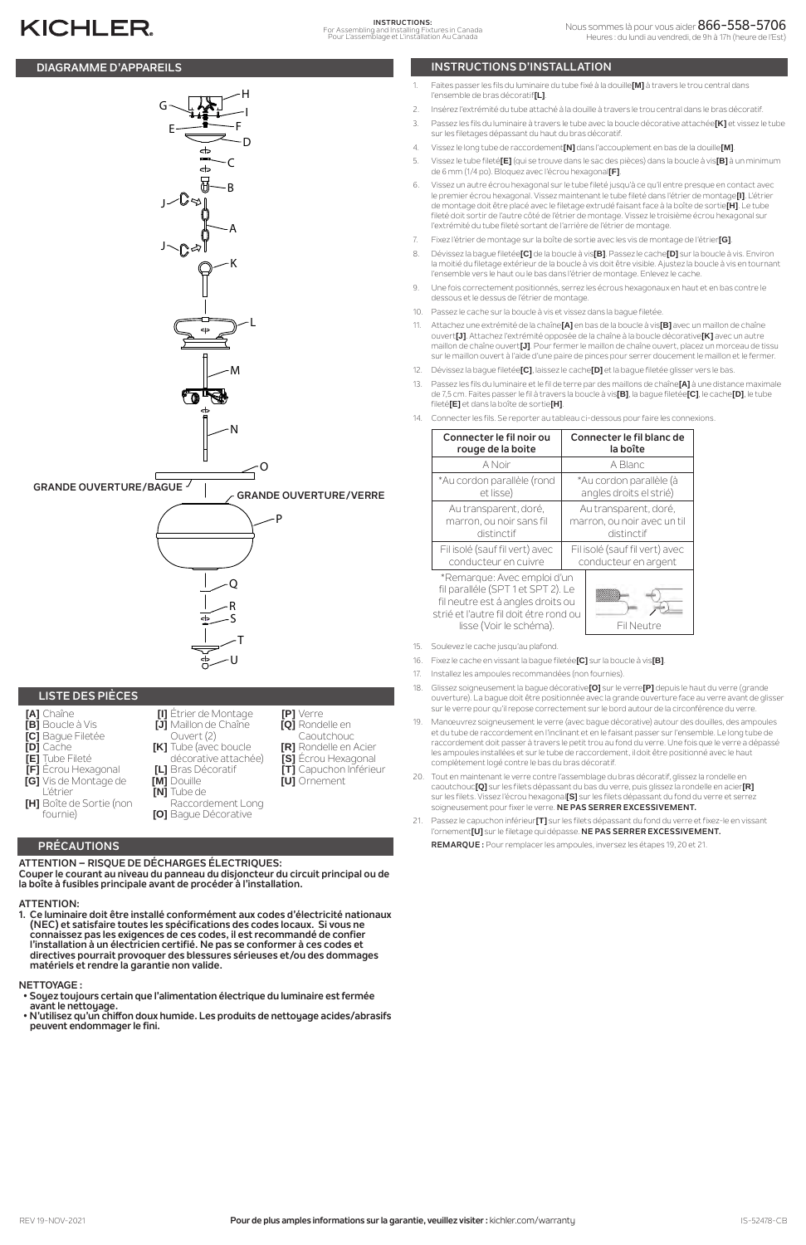## **PRÉCAUTIONS**

**ATTENTION – RISQUE DE DÉCHARGES ÉLECTRIQUES: Couper le courant au niveau du panneau du disjoncteur du circuit principal ou de la boîte à fusibles principale avant de procéder à l'installation.**

## **ATTENTION:**

**1. Ce luminaire doit être installé conformément aux codes d'électricité nationaux** 

**(NEC) et satisfaire toutes les spécifications des codes locaux. Si vous ne connaissez pas les exigences de ces codes, il est recommandé de confier l'installation à un électricien certifié. Ne pas se conformer à ces codes et directives pourrait provoquer des blessures sérieuses et/ou des dommages matériels et rendre la garantie non valide.**

**NETTOYAGE :** 

- **Soyez toujours certain que l'alimentation électrique du luminaire est fermée avant le nettoyage.**
- **N'utilisez qu'un chiffon doux humide. Les produits de nettoyage acides/abrasifs peuvent endommager le fini.**
- 1. Faites passer les fils du luminaire du tube fixé à la douille**[M]** à travers le trou central dans l'ensemble de bras décoratif**[L]**.
- 2. Insérez l'extrémité du tube attaché à la douille à travers le trou central dans le bras décoratif.
- 3. Passez les fils du luminaire à travers le tube avec la boucle décorative attachée**[K]** et vissez le tube sur les filetages dépassant du haut du bras décoratif.
- 4. Vissez le long tube de raccordement**[N]** dans l'accouplement en bas de la douille**[M]**.
- 5. Vissez le tube fileté**[E]** (qui se trouve dans le sac des pièces) dans la boucle à vis**[B]** à un minimum de 6 mm (1/4 po). Bloquez avec l'écrou hexagonal**[F]**.
- 6. Vissez un autre écrou hexagonal sur le tube fileté jusqu'à ce qu'il entre presque en contact avec le premier écrou hexagonal. Vissez maintenant le tube fileté dans l'étrier de montage**[I]**. L'étrier de montage doit être placé avec le filetage extrudé faisant face à la boîte de sortie**[H]**. Le tube fileté doit sortir de l'autre côté de l'étrier de montage. Vissez le troisième écrou hexagonal sur l'extrémité du tube fileté sortant de l'arrière de l'étrier de montage.
- 7. Fixez l'étrier de montage sur la boîte de sortie avec les vis de montage de l'étrier**[G]**.
- 8. Dévissez la bague filetée**[C]** de la boucle à vis**[B]**. Passez le cache**[D]** sur la boucle à vis. Environ la moitié du filetage extérieur de la boucle à vis doit être visible. Ajustez la boucle à vis en tournant l'ensemble vers le haut ou le bas dans l'étrier de montage. Enlevez le cache.
- 9. Une fois correctement positionnés, serrez les écrous hexagonaux en haut et en bas contre le dessous et le dessus de l'étrier de montage.
- 10. Passez le cache sur la boucle à vis et vissez dans la bague filetée.
- 11. Attachez une extrémité de la chaîne**[A]** en bas de la boucle à vis**[B]** avec un maillon de chaîne ouvert**[J]**. Attachez l'extrémité opposée de la chaîne à la boucle décorative**[K]** avec un autre maillon de chaîne ouvert**[J]**. Pour fermer le maillon de chaîne ouvert, placez un morceau de tissu sur le maillon ouvert à l'aide d'une paire de pinces pour serrer doucement le maillon et le fermer.
- 12. Dévissez la bague filetée**[C]**, laissez le cache**[D]** et la bague filetée glisser vers le bas.
- 13. Passez les fils du luminaire et le fil de terre par des maillons de chaîne**[A]** à une distance maximale de 7,5 cm. Faites passer le fil à travers la boucle à vis**[B]**, la bague filetée**[C]**, le cache**[D]**, le tube fileté**[E]** et dans la boîte de sortie**[H]**.
- Connecter les fils. Se reporter au tableau ci-dessous pour faire les connexions.

## **DIAGRAMME D'APPAREILS INSTRUCTIONS D'INSTALLATION**

# **KICHLER**

- **[B]** Boucle à Vis
- **[C]** Bague Filetée
- **[D]** Cache
- **[E]** Tube Fileté
- **[F]** Écrou Hexagonal
- **[G]** Vis de Montage de
	- L'étrier **[N]** Tube de
- **[H]** Boîte de Sortie (non fournie)

Ouvert (2) **[K]** Tube (avec boucle décorative attachée)

**[L]** Bras Décoratif

**[M]** Douille

Raccordement Long **[O]** Bague Décorative

- 
- **[Q]** Rondelle en
- Caoutchouc
- **[R]** Rondelle en Acier **[S]** Écrou Hexagonal
- **[T]** Capuchon Inférieur
- **[U]** Ornement



| Connecter le fil noir ou                                                                                                                                                    | Connecter le fil blanc de      |
|-----------------------------------------------------------------------------------------------------------------------------------------------------------------------------|--------------------------------|
| rouge de la boite                                                                                                                                                           | la boîte                       |
| A Noir                                                                                                                                                                      | A Blanc                        |
| *Au cordon parallèle (rond                                                                                                                                                  | *Au cordon parallèle (à        |
| et lisse)                                                                                                                                                                   | angles droits el strié)        |
| Au transparent, doré,                                                                                                                                                       | Au transparent, doré,          |
| marron, ou noir sans fil                                                                                                                                                    | marron, ou noir avec un til    |
| distinctif                                                                                                                                                                  | distinctif                     |
| Fil isolé (sauf fil vert) avec                                                                                                                                              | Fil isolé (sauf fil vert) avec |
| conducteur en cuivre                                                                                                                                                        | conducteur en argent           |
| *Remarque: Avec emploi d'un<br>fil paralléle (SPT 1 et SPT 2). Le<br>fil neutre est á angles droits ou<br>strié et l'autre fil doit étre rond ou<br>lisse (Voir le schéma). | Fil Neutre                     |

- 15. Soulevez le cache jusqu'au plafond.
- 16. Fixez le cache en vissant la bague filetée**[C]** sur la boucle à vis**[B]**.
- 17. Installez les ampoules recommandées (non fournies).
- 18. Glissez soigneusement la bague décorative**[O]** sur le verre**[P]** depuis le haut du verre (grande ouverture). La bague doit être positionnée avec la grande ouverture face au verre avant de glisser sur le verre pour qu'il repose correctement sur le bord autour de la circonférence du verre.
- 19. Manœuvrez soigneusement le verre (avec bague décorative) autour des douilles, des ampoules et du tube de raccordement en l'inclinant et en le faisant passer sur l'ensemble. Le long tube de raccordement doit passer à travers le petit trou au fond du verre. Une fois que le verre a dépassé les ampoules installées et sur le tube de raccordement, il doit être positionné avec le haut complètement logé contre le bas du bras décoratif.
- 20. Tout en maintenant le verre contre l'assemblage du bras décoratif, glissez la rondelle en caoutchouc**[Q]** sur les filets dépassant du bas du verre, puis glissez la rondelle en acier**[R]** sur les filets. Vissez l'écrou hexagonal**[S]** sur les filets dépassant du fond du verre et serrez soigneusement pour fixer le verre. **NE PAS SERRER EXCESSIVEMENT.**
- 21. Passez le capuchon inférieur**[T]** sur les filets dépassant du fond du verre et fixez-le en vissant l'ornement**[U]** sur le filetage qui dépasse. **NE PAS SERRER EXCESSIVEMENT.**

**REMARQUE :** Pour remplacer les ampoules, inversez les étapes 19, 20 et 21.